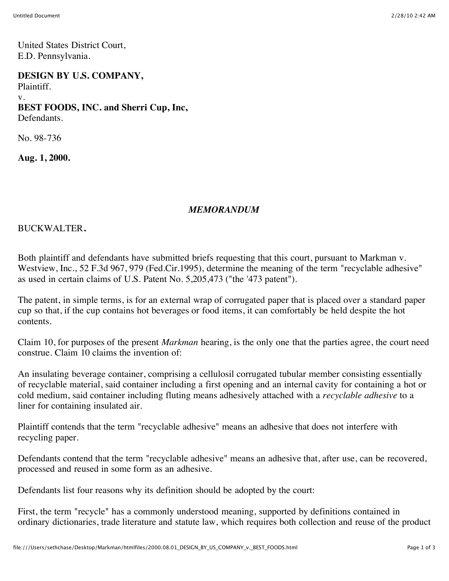United States District Court, E.D. Pennsylvania.

**DESIGN BY U.S. COMPANY,** Plaintiff. v. **BEST FOODS, INC. and Sherri Cup, Inc,** Defendants.

No. 98-736

**Aug. 1, 2000.**

## *MEMORANDUM*

BUCKWALTER**.**

Both plaintiff and defendants have submitted briefs requesting that this court, pursuant to Markman v. Westview, Inc., 52 F.3d 967, 979 (Fed.Cir.1995), determine the meaning of the term "recyclable adhesive" as used in certain claims of U.S. Patent No. 5,205,473 ("the '473 patent").

The patent, in simple terms, is for an external wrap of corrugated paper that is placed over a standard paper cup so that, if the cup contains hot beverages or food items, it can comfortably be held despite the hot contents.

Claim 10, for purposes of the present *Markman* hearing, is the only one that the parties agree, the court need construe. Claim 10 claims the invention of:

An insulating beverage container, comprising a cellulosil corrugated tubular member consisting essentially of recyclable material, said container including a first opening and an internal cavity for containing a hot or cold medium, said container including fluting means adhesively attached with a *recyclable adhesive* to a liner for containing insulated air.

Plaintiff contends that the term "recyclable adhesive" means an adhesive that does not interfere with recycling paper.

Defendants contend that the term "recyclable adhesive" means an adhesive that, after use, can be recovered, processed and reused in some form as an adhesive.

Defendants list four reasons why its definition should be adopted by the court:

First, the term "recycle" has a commonly understood meaning, supported by definitions contained in ordinary dictionaries, trade literature and statute law, which requires both collection and reuse of the product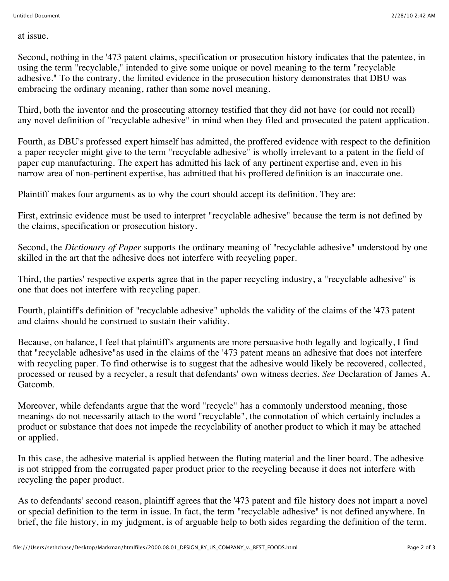at issue.

Second, nothing in the '473 patent claims, specification or prosecution history indicates that the patentee, in using the term "recyclable," intended to give some unique or novel meaning to the term "recyclable adhesive." To the contrary, the limited evidence in the prosecution history demonstrates that DBU was embracing the ordinary meaning, rather than some novel meaning.

Third, both the inventor and the prosecuting attorney testified that they did not have (or could not recall) any novel definition of "recyclable adhesive" in mind when they filed and prosecuted the patent application.

Fourth, as DBU's professed expert himself has admitted, the proffered evidence with respect to the definition a paper recycler might give to the term "recyclable adhesive" is wholly irrelevant to a patent in the field of paper cup manufacturing. The expert has admitted his lack of any pertinent expertise and, even in his narrow area of non-pertinent expertise, has admitted that his proffered definition is an inaccurate one.

Plaintiff makes four arguments as to why the court should accept its definition. They are:

First, extrinsic evidence must be used to interpret "recyclable adhesive" because the term is not defined by the claims, specification or prosecution history.

Second, the *Dictionary of Paper* supports the ordinary meaning of "recyclable adhesive" understood by one skilled in the art that the adhesive does not interfere with recycling paper.

Third, the parties' respective experts agree that in the paper recycling industry, a "recyclable adhesive" is one that does not interfere with recycling paper.

Fourth, plaintiff's definition of "recyclable adhesive" upholds the validity of the claims of the '473 patent and claims should be construed to sustain their validity.

Because, on balance, I feel that plaintiff's arguments are more persuasive both legally and logically, I find that "recyclable adhesive"as used in the claims of the '473 patent means an adhesive that does not interfere with recycling paper. To find otherwise is to suggest that the adhesive would likely be recovered, collected, processed or reused by a recycler, a result that defendants' own witness decries. *See* Declaration of James A. Gatcomb.

Moreover, while defendants argue that the word "recycle" has a commonly understood meaning, those meanings do not necessarily attach to the word "recyclable", the connotation of which certainly includes a product or substance that does not impede the recyclability of another product to which it may be attached or applied.

In this case, the adhesive material is applied between the fluting material and the liner board. The adhesive is not stripped from the corrugated paper product prior to the recycling because it does not interfere with recycling the paper product.

As to defendants' second reason, plaintiff agrees that the '473 patent and file history does not impart a novel or special definition to the term in issue. In fact, the term "recyclable adhesive" is not defined anywhere. In brief, the file history, in my judgment, is of arguable help to both sides regarding the definition of the term.